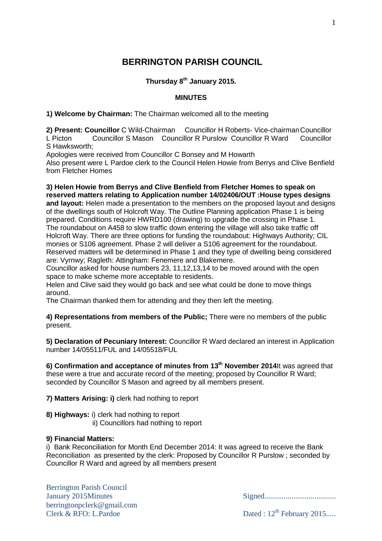# **BERRINGTON PARISH COUNCIL**

# **Thursday 8 th January 2015.**

### **MINUTES**

**1) Welcome by Chairman:** The Chairman welcomed all to the meeting

**2) Present: Councillor** C Wild-Chairman Councillor H Roberts- Vice-chairman Councillor<br>
L Picton Councillor S Mason Councillor R Purslow Councillor R Ward Councillor Councillor S Mason Councillor R Purslow Councillor R Ward Councillor S Hawksworth;

Apologies were received from Councillor C Bonsey and M Howarth

Also present were L Pardoe clerk to the Council Helen Howie from Berrys and Clive Benfield from Fletcher Homes

**3) Helen Howie from Berrys and Clive Benfield from Fletcher Homes to speak on reserved matters relating to Application number 14/02406/OUT :House types designs and layout:** Helen made a presentation to the members on the proposed layout and designs of the dwellings south of Holcroft Way. The Outline Planning application Phase 1 is being prepared. Conditions require HWRD100 (drawing) to upgrade the crossing in Phase 1. The roundabout on A458 to slow traffic down entering the village will also take traffic off Holcroft Way. There are three options for funding the roundabout: Highways Authority; CIL monies or S106 agreement. Phase 2 will deliver a S106 agreement for the roundabout. Reserved matters will be determined in Phase 1 and they type of dwelling being considered are: Vyrnwy; Ragleth: Attingham: Fenemere and Blakemere.

Councillor asked for house numbers 23, 11,12,13,14 to be moved around with the open space to make scheme more acceptable to residents.

Helen and Clive said they would go back and see what could be done to move things around.

The Chairman thanked them for attending and they then left the meeting.

**4) Representations from members of the Public;** There were no members of the public present.

**5) Declaration of Pecuniary Interest:** Councillor R Ward declared an interest in Application number 14/05511/FUL and 14/05518/FUL

**6) Confirmation and acceptance of minutes from 13 th November 2014**It was agreed that these were a true and accurate record of the meeting; proposed by Councillor R Ward; seconded by Councillor S Mason and agreed by all members present.

**7) Matters Arising: i)** clerk had nothing to report

**8) Highways:** i) clerk had nothing to report

ii) Councillors had nothing to report

### **9) Financial Matters:**

i) Bank Reconciliation for Month End December 2014: It was agreed to receive the Bank Reconciliation as presented by the clerk: Proposed by Councillor R Purslow ; seconded by Councillor R Ward and agreed by all members present

Berrington Parish Council January 2015Minutes Signed..................................... berringtonpclerk@gmail.com Clerk & RFO: L.Pardoe Dated :  $12^{th}$  February 2015....

1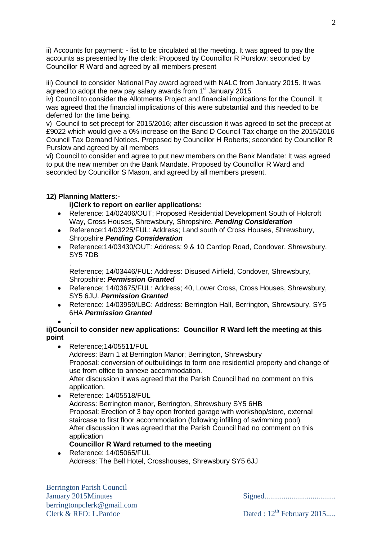ii) Accounts for payment: - list to be circulated at the meeting. It was agreed to pay the accounts as presented by the clerk: Proposed by Councillor R Purslow; seconded by Councillor R Ward and agreed by all members present

iii) Council to consider National Pay award agreed with NALC from January 2015. It was agreed to adopt the new pay salary awards from 1<sup>st</sup> January 2015

iv) Council to consider the Allotments Project and financial implications for the Council. It was agreed that the financial implications of this were substantial and this needed to be deferred for the time being.

v) Council to set precept for 2015/2016; after discussion it was agreed to set the precept at £9022 which would give a 0% increase on the Band D Council Tax charge on the 2015/2016 Council Tax Demand Notices. Proposed by Councillor H Roberts; seconded by Councillor R Purslow and agreed by all members

vi) Council to consider and agree to put new members on the Bank Mandate: It was agreed to put the new member on the Bank Mandate. Proposed by Councillor R Ward and seconded by Councillor S Mason, and agreed by all members present.

## **12) Planning Matters:-**

## **i)Clerk to report on earlier applications:**

- Reference: 14/02406/OUT; Proposed Residential Development South of Holcroft Way, Cross Houses, Shrewsbury, Shropshire. *Pending Consideration*
- Reference:14/03225/FUL: Address; Land south of Cross Houses, Shrewsbury, Shropshire *Pending Consideration*
- Reference:14/03430/OUT: Address: 9 & 10 Cantlop Road, Condover, Shrewsbury,  $\bullet$ SY5 7DB

. Reference; 14/03446/FUL: Address: Disused Airfield, Condover, Shrewsbury, Shropshire: *Permission Granted*

- Reference; 14/03675/FUL: Address; 40, Lower Cross, Cross Houses, Shrewsbury,  $\bullet$ SY5 6JU. *Permission Granted*
- Reference: 14/03959/LBC: Address: Berrington Hall, Berrington, Shrewsbury. SY5  $\bullet$ 6HA *Permission Granted*
- 

#### . **ii)Council to consider new applications: Councillor R Ward left the meeting at this point**

- Reference:14/05511/FUL Address: Barn 1 at Berrington Manor; Berrington, Shrewsbury Proposal: conversion of outbuildings to form one residential property and change of use from office to annexe accommodation. After discussion it was agreed that the Parish Council had no comment on this application.  $\bullet$ Reference: 14/05518/FUL
	- Address: Berrington manor, Berrington, Shrewsbury SY5 6HB Proposal: Erection of 3 bay open fronted garage with workshop/store, external staircase to first floor accommodation (following infilling of swimming pool) After discussion it was agreed that the Parish Council had no comment on this application

# **Councillor R Ward returned to the meeting**

Reference: 14/05065/FUL Address: The Bell Hotel, Crosshouses, Shrewsbury SY5 6JJ

January 2015Minutes Signed.....................................